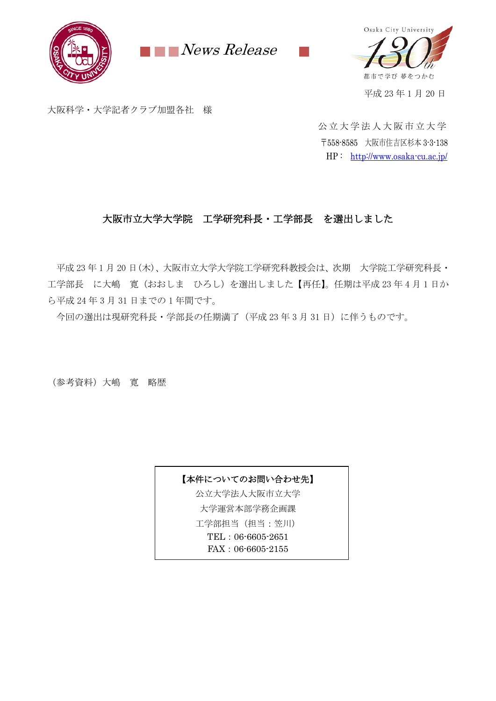

**News Release** 



大阪科学・大学記者クラブ加盟各社 様

公立大学法人大阪市立大学 〒558-8585 大阪市住吉区杉本 3-3-138 HP : <http://www.osaka-cu.ac.jp/>

## 大阪市立大学大学院 工学研究科長・工学部長 を選出しました

平成 23年1月20日(木)、大阪市立大学大学院工学研究科教授会は、次期 大学院工学研究科長· 工学部長 に大嶋 寛(おおしま ひろし)を選出しました【再任】。任期は平成 23 年 4 月 1 日か ら平成 24 年 3 月 31 日までの 1 年間です。

今回の選出は現研究科長·学部長の任期満了(平成 23年 3月 31日)に伴うものです。

(参考資料)大嶋 寛 略歴

【本件についてのお問い合わせ先】

公立大学法人大阪市立大学 大学運営本部学務企画課 工学部担当(担当:笠川) TEL:06-6605-2651 FAX:06-6605-2155